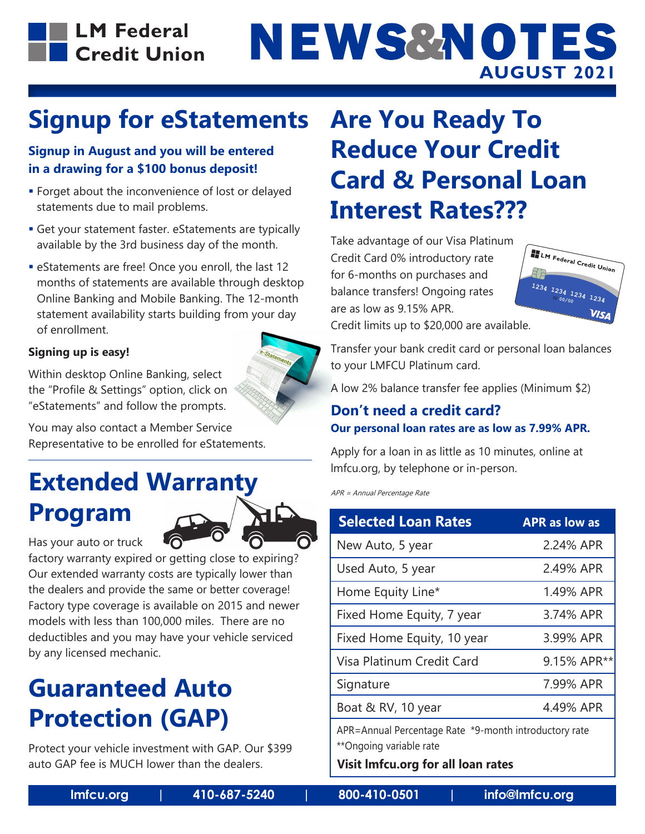

# NEWS&NOTES **AUGUST 2021**

## **Signup for eStatements**

### **Signup in August and you will be entered in a drawing for a \$100 bonus deposit!**

- **Forget about the inconvenience of lost or delayed** statements due to mail problems.
- Get your statement faster. eStatements are typically available by the 3rd business day of the month.
- eStatements are free! Once you enroll, the last 12 months of statements are available through desktop Online Banking and Mobile Banking. The 12-month statement availability starts building from your day of enrollment.

### **Signing up is easy!**

Within desktop Online Banking, select the "Profile & Settings" option, click on "eStatements" and follow the prompts.

You may also contact a Member Service Representative to be enrolled for eStatements.

# **Extended Warranty Program**



factory warranty expired or getting close to expiring? Our extended warranty costs are typically lower than the dealers and provide the same or better coverage! Factory type coverage is available on 2015 and newer models with less than 100,000 miles. There are no deductibles and you may have your vehicle serviced by any licensed mechanic.

### **Guaranteed Auto Protection (GAP)**

Protect your vehicle investment with GAP. Our \$399 auto GAP fee is MUCH lower than the dealers.

### **Are You Ready To Reduce Your Credit Card & Personal Loan Interest Rates???**

Take advantage of our Visa Platinum Credit Card 0% introductory rate for 6-months on purchases and balance transfers! Ongoing rates are as low as 9.15% APR.



Credit limits up to \$20,000 are available.

Transfer your bank credit card or personal loan balances to your LMFCU Platinum card.

A low 2% balance transfer fee applies (Minimum \$2)

### **Don't need a credit card? Our personal loan rates are as low as 7.99% APR.**

Apply for a loan in as little as 10 minutes, online at lmfcu.org, by telephone or in-person.

APR = Annual Percentage Rate

| <b>Selected Loan Rates</b>                                                       | <b>APR as low as</b> |
|----------------------------------------------------------------------------------|----------------------|
| New Auto, 5 year                                                                 | 2.24% APR            |
| Used Auto, 5 year                                                                | 2.49% APR            |
| Home Equity Line*                                                                | 1.49% APR            |
| Fixed Home Equity, 7 year                                                        | 3.74% APR            |
| Fixed Home Equity, 10 year                                                       | 3.99% APR            |
| Visa Platinum Credit Card                                                        | 9.15% APR**          |
| Signature                                                                        | 7.99% APR            |
| Boat & RV, 10 year                                                               | 4.49% APR            |
| APR=Annual Percentage Rate *9-month introductory rate<br>**Ongoing variable rate |                      |

**Visit lmfcu.org for all loan rates**